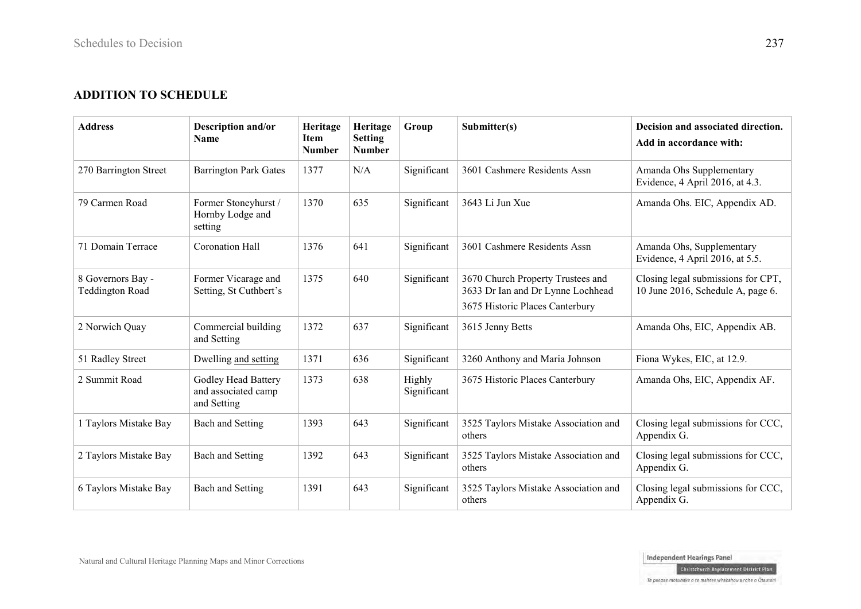## **ADDITION TO SCHEDULE**

| <b>Address</b>                              | Description and/or<br><b>Name</b>                         | Heritage<br><b>Item</b><br><b>Number</b> | Heritage<br><b>Setting</b><br><b>Number</b> | Group                 | Submitter(s)                                                                                              | Decision and associated direction.<br>Add in accordance with:           |
|---------------------------------------------|-----------------------------------------------------------|------------------------------------------|---------------------------------------------|-----------------------|-----------------------------------------------------------------------------------------------------------|-------------------------------------------------------------------------|
| 270 Barrington Street                       | <b>Barrington Park Gates</b>                              | 1377                                     | N/A                                         | Significant           | 3601 Cashmere Residents Assn                                                                              | Amanda Ohs Supplementary<br>Evidence, 4 April 2016, at 4.3.             |
| 79 Carmen Road                              | Former Stoneyhurst /<br>Hornby Lodge and<br>setting       | 1370                                     | 635                                         | Significant           | 3643 Li Jun Xue                                                                                           | Amanda Ohs. EIC, Appendix AD.                                           |
| 71 Domain Terrace                           | Coronation Hall                                           | 1376                                     | 641                                         | Significant           | 3601 Cashmere Residents Assn                                                                              | Amanda Ohs, Supplementary<br>Evidence, 4 April 2016, at 5.5.            |
| 8 Governors Bay -<br><b>Teddington Road</b> | Former Vicarage and<br>Setting, St Cuthbert's             | 1375                                     | 640                                         | Significant           | 3670 Church Property Trustees and<br>3633 Dr Ian and Dr Lynne Lochhead<br>3675 Historic Places Canterbury | Closing legal submissions for CPT,<br>10 June 2016, Schedule A, page 6. |
| 2 Norwich Quay                              | Commercial building<br>and Setting                        | 1372                                     | 637                                         | Significant           | 3615 Jenny Betts                                                                                          | Amanda Ohs, EIC, Appendix AB.                                           |
| 51 Radley Street                            | Dwelling and setting                                      | 1371                                     | 636                                         | Significant           | 3260 Anthony and Maria Johnson                                                                            | Fiona Wykes, EIC, at 12.9.                                              |
| 2 Summit Road                               | Godley Head Battery<br>and associated camp<br>and Setting | 1373                                     | 638                                         | Highly<br>Significant | 3675 Historic Places Canterbury                                                                           | Amanda Ohs, EIC, Appendix AF.                                           |
| 1 Taylors Mistake Bay                       | Bach and Setting                                          | 1393                                     | 643                                         | Significant           | 3525 Taylors Mistake Association and<br>others                                                            | Closing legal submissions for CCC,<br>Appendix G.                       |
| 2 Taylors Mistake Bay                       | Bach and Setting                                          | 1392                                     | 643                                         | Significant           | 3525 Taylors Mistake Association and<br>others                                                            | Closing legal submissions for CCC,<br>Appendix G.                       |
| 6 Taylors Mistake Bay                       | Bach and Setting                                          | 1391                                     | 643                                         | Significant           | 3525 Taylors Mistake Association and<br>others                                                            | Closing legal submissions for CCC,<br>Appendix G.                       |

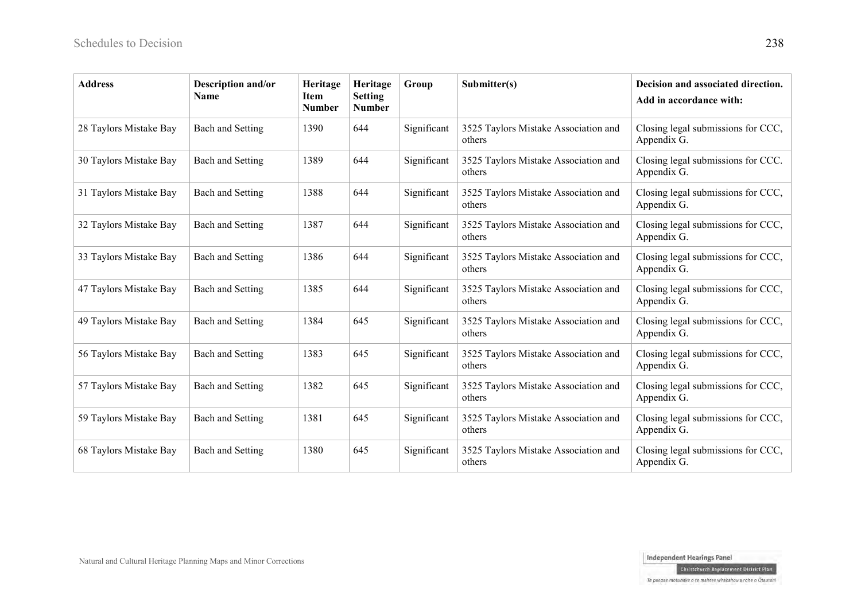| <b>Address</b>         | <b>Description and/or</b><br>Name | Heritage<br><b>Item</b><br><b>Number</b> | Heritage<br><b>Setting</b><br><b>Number</b> | Group       | Submitter(s)                                   | Decision and associated direction.<br>Add in accordance with: |
|------------------------|-----------------------------------|------------------------------------------|---------------------------------------------|-------------|------------------------------------------------|---------------------------------------------------------------|
| 28 Taylors Mistake Bay | <b>Bach and Setting</b>           | 1390                                     | 644                                         | Significant | 3525 Taylors Mistake Association and<br>others | Closing legal submissions for CCC,<br>Appendix G.             |
| 30 Taylors Mistake Bay | <b>Bach and Setting</b>           | 1389                                     | 644                                         | Significant | 3525 Taylors Mistake Association and<br>others | Closing legal submissions for CCC.<br>Appendix G.             |
| 31 Taylors Mistake Bay | Bach and Setting                  | 1388                                     | 644                                         | Significant | 3525 Taylors Mistake Association and<br>others | Closing legal submissions for CCC,<br>Appendix G.             |
| 32 Taylors Mistake Bay | <b>Bach and Setting</b>           | 1387                                     | 644                                         | Significant | 3525 Taylors Mistake Association and<br>others | Closing legal submissions for CCC,<br>Appendix G.             |
| 33 Taylors Mistake Bay | <b>Bach and Setting</b>           | 1386                                     | 644                                         | Significant | 3525 Taylors Mistake Association and<br>others | Closing legal submissions for CCC,<br>Appendix G.             |
| 47 Taylors Mistake Bay | <b>Bach and Setting</b>           | 1385                                     | 644                                         | Significant | 3525 Taylors Mistake Association and<br>others | Closing legal submissions for CCC,<br>Appendix G.             |
| 49 Taylors Mistake Bay | <b>Bach and Setting</b>           | 1384                                     | 645                                         | Significant | 3525 Taylors Mistake Association and<br>others | Closing legal submissions for CCC,<br>Appendix G.             |
| 56 Taylors Mistake Bay | <b>Bach and Setting</b>           | 1383                                     | 645                                         | Significant | 3525 Taylors Mistake Association and<br>others | Closing legal submissions for CCC,<br>Appendix G.             |
| 57 Taylors Mistake Bay | <b>Bach and Setting</b>           | 1382                                     | 645                                         | Significant | 3525 Taylors Mistake Association and<br>others | Closing legal submissions for CCC,<br>Appendix G.             |
| 59 Taylors Mistake Bay | <b>Bach and Setting</b>           | 1381                                     | 645                                         | Significant | 3525 Taylors Mistake Association and<br>others | Closing legal submissions for CCC,<br>Appendix G.             |
| 68 Taylors Mistake Bay | <b>Bach and Setting</b>           | 1380                                     | 645                                         | Significant | 3525 Taylors Mistake Association and<br>others | Closing legal submissions for CCC,<br>Appendix G.             |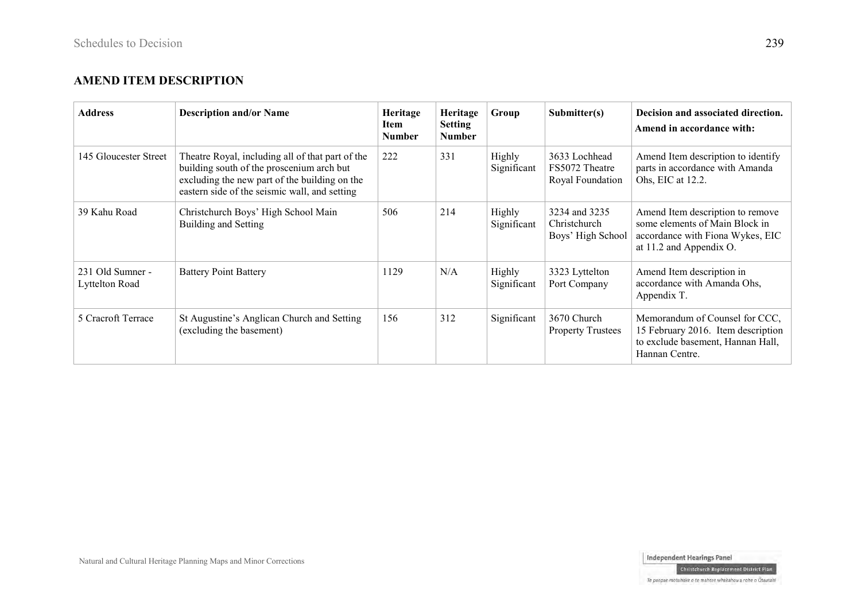#### **AMEND ITEM DESCRIPTION**

| <b>Address</b>                     | <b>Description and/or Name</b>                                                                                                                                                                  | Heritage<br>Item<br><b>Number</b> | Heritage<br><b>Setting</b><br><b>Number</b> | Group                 | Submitter(s)                                        | Decision and associated direction.<br>Amend in accordance with:                                                                   |
|------------------------------------|-------------------------------------------------------------------------------------------------------------------------------------------------------------------------------------------------|-----------------------------------|---------------------------------------------|-----------------------|-----------------------------------------------------|-----------------------------------------------------------------------------------------------------------------------------------|
| 145 Gloucester Street              | Theatre Royal, including all of that part of the<br>building south of the proscenium arch but<br>excluding the new part of the building on the<br>eastern side of the seismic wall, and setting | 222                               | 331                                         | Highly<br>Significant | 3633 Lochhead<br>FS5072 Theatre<br>Royal Foundation | Amend Item description to identify<br>parts in accordance with Amanda<br>Ohs, EIC at 12.2.                                        |
| 39 Kahu Road                       | Christchurch Boys' High School Main<br>Building and Setting                                                                                                                                     | 506                               | 214                                         | Highly<br>Significant | 3234 and 3235<br>Christchurch<br>Boys' High School  | Amend Item description to remove<br>some elements of Main Block in<br>accordance with Fiona Wykes, EIC<br>at 11.2 and Appendix O. |
| 231 Old Sumner -<br>Lyttelton Road | <b>Battery Point Battery</b>                                                                                                                                                                    | 1129                              | N/A                                         | Highly<br>Significant | 3323 Lyttelton<br>Port Company                      | Amend Item description in<br>accordance with Amanda Ohs,<br>Appendix T.                                                           |
| 5 Cracroft Terrace                 | St Augustine's Anglican Church and Setting<br>(excluding the basement)                                                                                                                          | 156                               | 312                                         | Significant           | 3670 Church<br><b>Property Trustees</b>             | Memorandum of Counsel for CCC,<br>15 February 2016. Item description<br>to exclude basement, Hannan Hall,<br>Hannan Centre.       |

Christchurch Replacement District Plan Te paepae motuhake o te mahere whakahou a rohe o Ōtautahi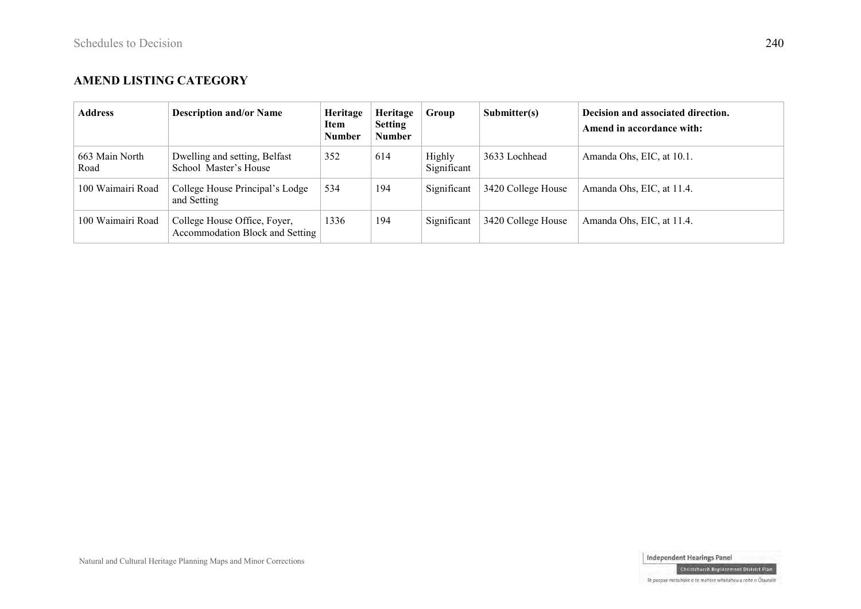### **AMEND LISTING CATEGORY**

| <b>Address</b>         | <b>Description and/or Name</b>                                         | Heritage<br>Item<br>Number | Heritage<br><b>Setting</b><br><b>Number</b> | Group                 | $\mathbf{Submitter(s)}$ | Decision and associated direction.<br>Amend in accordance with: |
|------------------------|------------------------------------------------------------------------|----------------------------|---------------------------------------------|-----------------------|-------------------------|-----------------------------------------------------------------|
| 663 Main North<br>Road | Dwelling and setting, Belfast<br>School Master's House                 | 352                        | 614                                         | Highly<br>Significant | 3633 Lochhead           | Amanda Ohs, EIC, at 10.1.                                       |
| 100 Waimairi Road      | College House Principal's Lodge<br>and Setting                         | 534                        | 194                                         | Significant           | 3420 College House      | Amanda Ohs, EIC, at 11.4.                                       |
| 100 Waimairi Road      | College House Office, Foyer,<br><b>Accommodation Block and Setting</b> | 1336                       | 194                                         | Significant           | 3420 College House      | Amanda Ohs, EIC, at 11.4.                                       |



Christchurch Replacement District Plan

Te paepae motuhake o te mahere whakahou a rohe o Ōtautahi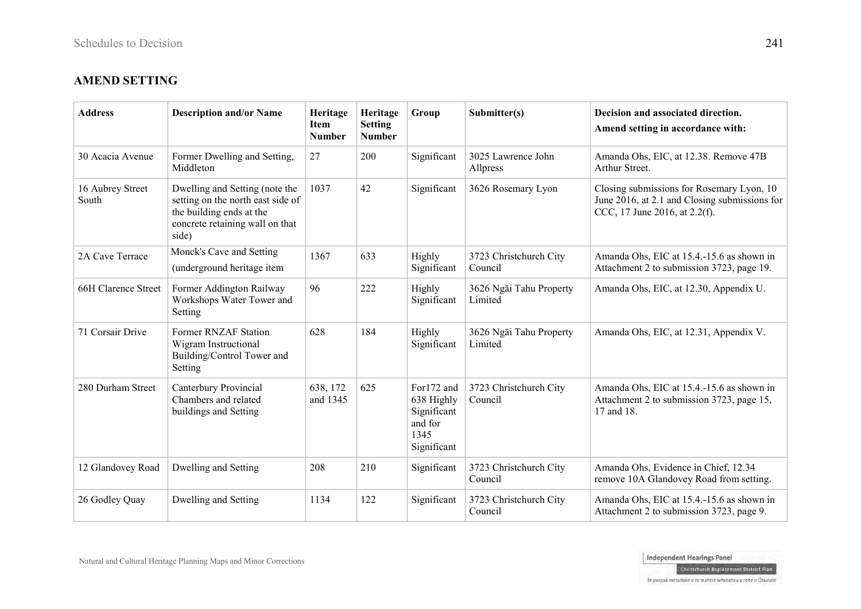## **AMEND SETTING**

| <b>Address</b>            | <b>Description and/or Name</b>                                                                                                              | Heritage<br><b>Item</b><br><b>Number</b> | Heritage<br><b>Setting</b><br><b>Number</b> | Group                                                                     | Submitter(s)                       | Decision and associated direction.<br>Amend setting in accordance with:                                                     |
|---------------------------|---------------------------------------------------------------------------------------------------------------------------------------------|------------------------------------------|---------------------------------------------|---------------------------------------------------------------------------|------------------------------------|-----------------------------------------------------------------------------------------------------------------------------|
| 30 Acacia Avenue          | Former Dwelling and Setting,<br>Middleton                                                                                                   | 27                                       | 200                                         | Significant                                                               | 3025 Lawrence John<br>Allpress     | Amanda Ohs, EIC, at 12.38. Remove 47B<br>Arthur Street.                                                                     |
| 16 Aubrey Street<br>South | Dwelling and Setting (note the<br>setting on the north east side of<br>the building ends at the<br>concrete retaining wall on that<br>side) | 1037                                     | 42                                          | Significant                                                               | 3626 Rosemary Lyon                 | Closing submissions for Rosemary Lyon, 10<br>June 2016, at 2.1 and Closing submissions for<br>CCC, 17 June 2016, at 2.2(f). |
| 2A Cave Terrace           | Monck's Cave and Setting<br>(underground heritage item                                                                                      | 1367                                     | 633                                         | Highly<br>Significant                                                     | 3723 Christchurch City<br>Council  | Amanda Ohs, EIC at 15.4.-15.6 as shown in<br>Attachment 2 to submission 3723, page 19.                                      |
| 66H Clarence Street       | Former Addington Railway<br>Workshops Water Tower and<br>Setting                                                                            | 96                                       | 222                                         | Highly<br>Significant                                                     | 3626 Ngāi Tahu Property<br>Limited | Amanda Ohs, EIC, at 12.30, Appendix U.                                                                                      |
| 71 Corsair Drive          | Former RNZAF Station<br>Wigram Instructional<br>Building/Control Tower and<br>Setting                                                       | 628                                      | 184                                         | Highly<br>Significant                                                     | 3626 Ngāi Tahu Property<br>Limited | Amanda Ohs, EIC, at 12.31, Appendix V.                                                                                      |
| 280 Durham Street         | Canterbury Provincial<br>Chambers and related<br>buildings and Setting                                                                      | 638, 172<br>and 1345                     | 625                                         | For172 and<br>638 Highly<br>Significant<br>and for<br>1345<br>Significant | 3723 Christchurch City<br>Council  | Amanda Ohs, EIC at 15.4.-15.6 as shown in<br>Attachment 2 to submission 3723, page 15,<br>17 and 18.                        |
| 12 Glandovey Road         | Dwelling and Setting                                                                                                                        | 208                                      | 210                                         | Significant                                                               | 3723 Christchurch City<br>Council  | Amanda Ohs, Evidence in Chief, 12.34<br>remove 10A Glandovey Road from setting.                                             |
| 26 Godley Quay            | Dwelling and Setting                                                                                                                        | 1134                                     | 122                                         | Significant                                                               | 3723 Christchurch City<br>Council  | Amanda Ohs, EIC at 15.4.-15.6 as shown in<br>Attachment 2 to submission 3723, page 9.                                       |

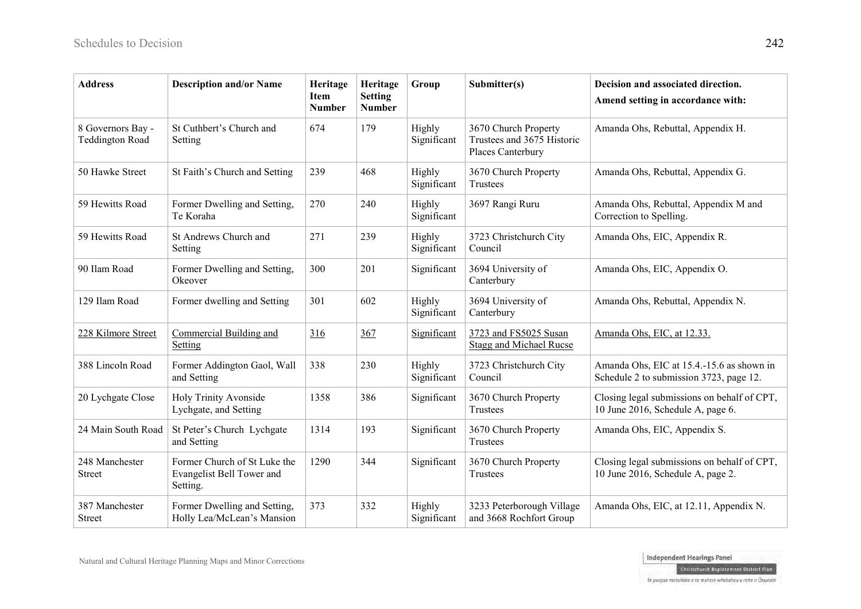| <b>Address</b>                              | <b>Description and/or Name</b>                                        | Heritage<br><b>Item</b><br><b>Number</b> | Heritage<br><b>Setting</b><br><b>Number</b> | Group                 | Submitter(s)                                                            | Decision and associated direction.<br>Amend setting in accordance with:              |
|---------------------------------------------|-----------------------------------------------------------------------|------------------------------------------|---------------------------------------------|-----------------------|-------------------------------------------------------------------------|--------------------------------------------------------------------------------------|
| 8 Governors Bay -<br><b>Teddington Road</b> | St Cuthbert's Church and<br>Setting                                   | 674                                      | 179                                         | Highly<br>Significant | 3670 Church Property<br>Trustees and 3675 Historic<br>Places Canterbury | Amanda Ohs, Rebuttal, Appendix H.                                                    |
| 50 Hawke Street                             | St Faith's Church and Setting                                         | 239                                      | 468                                         | Highly<br>Significant | 3670 Church Property<br>Trustees                                        | Amanda Ohs, Rebuttal, Appendix G.                                                    |
| 59 Hewitts Road                             | Former Dwelling and Setting,<br>Te Koraha                             | 270                                      | 240                                         | Highly<br>Significant | 3697 Rangi Ruru                                                         | Amanda Ohs, Rebuttal, Appendix M and<br>Correction to Spelling.                      |
| 59 Hewitts Road                             | St Andrews Church and<br>Setting                                      | 271                                      | 239                                         | Highly<br>Significant | 3723 Christchurch City<br>Council                                       | Amanda Ohs, EIC, Appendix R.                                                         |
| 90 Ilam Road                                | Former Dwelling and Setting,<br>Okeover                               | 300                                      | 201                                         | Significant           | 3694 University of<br>Canterbury                                        | Amanda Ohs, EIC, Appendix O.                                                         |
| 129 Ilam Road                               | Former dwelling and Setting                                           | 301                                      | 602                                         | Highly<br>Significant | 3694 University of<br>Canterbury                                        | Amanda Ohs, Rebuttal, Appendix N.                                                    |
| 228 Kilmore Street                          | Commercial Building and<br><b>Setting</b>                             | 316                                      | 367                                         | Significant           | 3723 and FS5025 Susan<br><b>Stagg and Michael Rucse</b>                 | Amanda Ohs, EIC, at 12.33.                                                           |
| 388 Lincoln Road                            | Former Addington Gaol, Wall<br>and Setting                            | 338                                      | 230                                         | Highly<br>Significant | 3723 Christchurch City<br>Council                                       | Amanda Ohs, EIC at 15.4.-15.6 as shown in<br>Schedule 2 to submission 3723, page 12. |
| 20 Lychgate Close                           | Holy Trinity Avonside<br>Lychgate, and Setting                        | 1358                                     | 386                                         | Significant           | 3670 Church Property<br><b>Trustees</b>                                 | Closing legal submissions on behalf of CPT,<br>10 June 2016, Schedule A, page 6.     |
| 24 Main South Road                          | St Peter's Church Lychgate<br>and Setting                             | 1314                                     | 193                                         | Significant           | 3670 Church Property<br>Trustees                                        | Amanda Ohs, EIC, Appendix S.                                                         |
| 248 Manchester<br><b>Street</b>             | Former Church of St Luke the<br>Evangelist Bell Tower and<br>Setting. | 1290                                     | 344                                         | Significant           | 3670 Church Property<br>Trustees                                        | Closing legal submissions on behalf of CPT,<br>10 June 2016, Schedule A, page 2.     |
| 387 Manchester<br><b>Street</b>             | Former Dwelling and Setting,<br>Holly Lea/McLean's Mansion            | 373                                      | 332                                         | Highly<br>Significant | 3233 Peterborough Village<br>and 3668 Rochfort Group                    | Amanda Ohs, EIC, at 12.11, Appendix N.                                               |

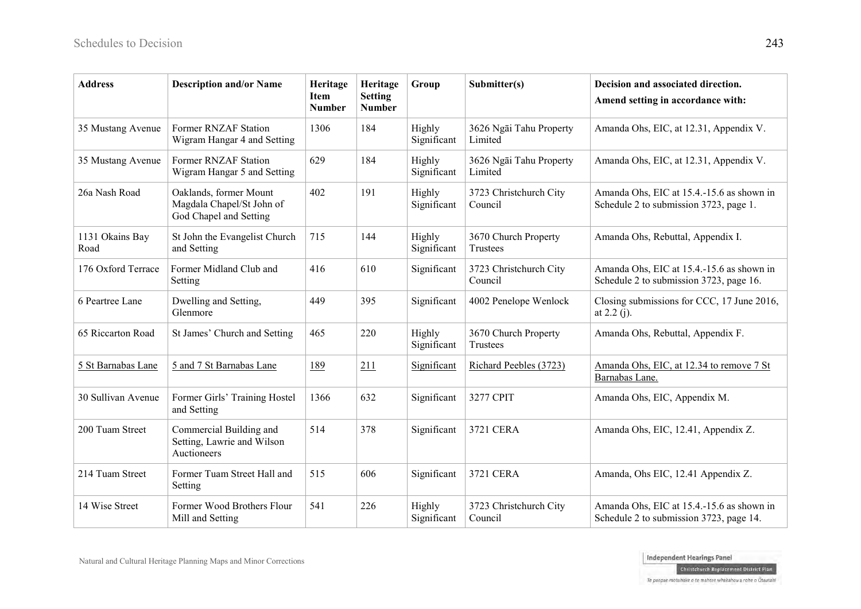| <b>Address</b>          | <b>Description and/or Name</b>                                                | Heritage<br><b>Item</b><br><b>Number</b> | Heritage<br><b>Setting</b><br><b>Number</b> | Group                 | Submitter(s)                       | Decision and associated direction.<br>Amend setting in accordance with:              |
|-------------------------|-------------------------------------------------------------------------------|------------------------------------------|---------------------------------------------|-----------------------|------------------------------------|--------------------------------------------------------------------------------------|
| 35 Mustang Avenue       | Former RNZAF Station<br>Wigram Hangar 4 and Setting                           | 1306                                     | 184                                         | Highly<br>Significant | 3626 Ngāi Tahu Property<br>Limited | Amanda Ohs, EIC, at 12.31, Appendix V.                                               |
| 35 Mustang Avenue       | Former RNZAF Station<br>Wigram Hangar 5 and Setting                           | 629                                      | 184                                         | Highly<br>Significant | 3626 Ngāi Tahu Property<br>Limited | Amanda Ohs, EIC, at 12.31, Appendix V.                                               |
| 26a Nash Road           | Oaklands, former Mount<br>Magdala Chapel/St John of<br>God Chapel and Setting | 402                                      | 191                                         | Highly<br>Significant | 3723 Christchurch City<br>Council  | Amanda Ohs, EIC at 15.4.-15.6 as shown in<br>Schedule 2 to submission 3723, page 1.  |
| 1131 Okains Bay<br>Road | St John the Evangelist Church<br>and Setting                                  | 715                                      | 144                                         | Highly<br>Significant | 3670 Church Property<br>Trustees   | Amanda Ohs, Rebuttal, Appendix I.                                                    |
| 176 Oxford Terrace      | Former Midland Club and<br>Setting                                            | 416                                      | 610                                         | Significant           | 3723 Christchurch City<br>Council  | Amanda Ohs, EIC at 15.4.-15.6 as shown in<br>Schedule 2 to submission 3723, page 16. |
| 6 Peartree Lane         | Dwelling and Setting,<br>Glenmore                                             | 449                                      | 395                                         | Significant           | 4002 Penelope Wenlock              | Closing submissions for CCC, 17 June 2016,<br>at $2.2(j)$ .                          |
| 65 Riccarton Road       | St James' Church and Setting                                                  | 465                                      | 220                                         | Highly<br>Significant | 3670 Church Property<br>Trustees   | Amanda Ohs, Rebuttal, Appendix F.                                                    |
| 5 St Barnabas Lane      | 5 and 7 St Barnabas Lane                                                      | 189                                      | 211                                         | Significant           | Richard Peebles (3723)             | Amanda Ohs, EIC, at 12.34 to remove 7 St<br>Barnabas Lane.                           |
| 30 Sullivan Avenue      | Former Girls' Training Hostel<br>and Setting                                  | 1366                                     | 632                                         | Significant           | 3277 CPIT                          | Amanda Ohs, EIC, Appendix M.                                                         |
| 200 Tuam Street         | Commercial Building and<br>Setting, Lawrie and Wilson<br>Auctioneers          | 514                                      | 378                                         | Significant           | 3721 CERA                          | Amanda Ohs, EIC, 12.41, Appendix Z.                                                  |
| 214 Tuam Street         | Former Tuam Street Hall and<br>Setting                                        | 515                                      | 606                                         | Significant           | 3721 CERA                          | Amanda, Ohs EIC, 12.41 Appendix Z.                                                   |
| 14 Wise Street          | Former Wood Brothers Flour<br>Mill and Setting                                | 541                                      | 226                                         | Highly<br>Significant | 3723 Christchurch City<br>Council  | Amanda Ohs, EIC at 15.4.-15.6 as shown in<br>Schedule 2 to submission 3723, page 14. |

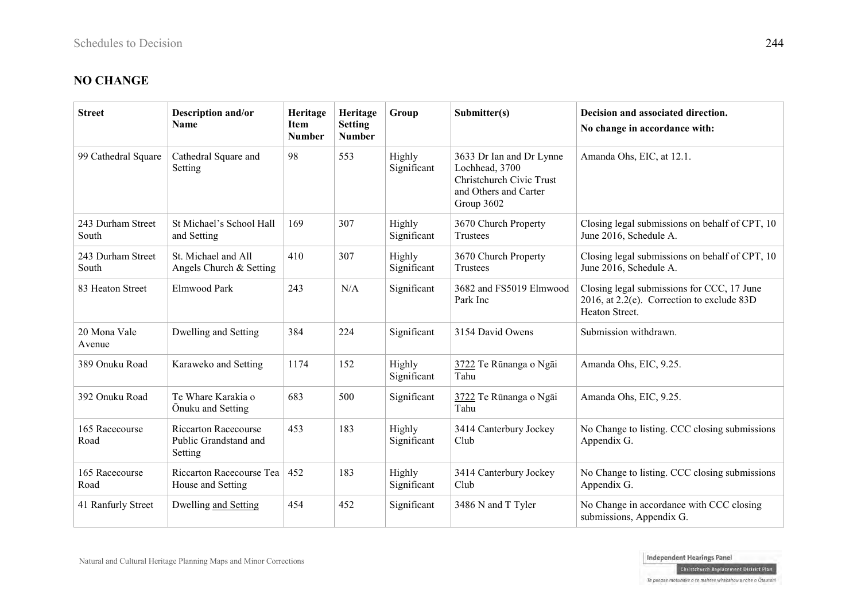# **NO CHANGE**

| <b>Street</b>              | Description and/or<br><b>Name</b>                               | Heritage<br><b>Item</b><br><b>Number</b> | Heritage<br><b>Setting</b><br><b>Number</b> | Group                 | Submitter(s)                                                                                                  | Decision and associated direction.<br>No change in accordance with:                                        |
|----------------------------|-----------------------------------------------------------------|------------------------------------------|---------------------------------------------|-----------------------|---------------------------------------------------------------------------------------------------------------|------------------------------------------------------------------------------------------------------------|
| 99 Cathedral Square        | Cathedral Square and<br>Setting                                 | 98                                       | 553                                         | Highly<br>Significant | 3633 Dr Ian and Dr Lynne<br>Lochhead, 3700<br>Christchurch Civic Trust<br>and Others and Carter<br>Group 3602 | Amanda Ohs, EIC, at 12.1.                                                                                  |
| 243 Durham Street<br>South | St Michael's School Hall<br>and Setting                         | 169                                      | 307                                         | Highly<br>Significant | 3670 Church Property<br><b>Trustees</b>                                                                       | Closing legal submissions on behalf of CPT, 10<br>June 2016, Schedule A.                                   |
| 243 Durham Street<br>South | St. Michael and All<br>Angels Church & Setting                  | 410                                      | 307                                         | Highly<br>Significant | 3670 Church Property<br>Trustees                                                                              | Closing legal submissions on behalf of CPT, 10<br>June 2016, Schedule A.                                   |
| 83 Heaton Street           | Elmwood Park                                                    | 243                                      | N/A                                         | Significant           | 3682 and FS5019 Elmwood<br>Park Inc                                                                           | Closing legal submissions for CCC, 17 June<br>2016, at 2.2(e). Correction to exclude 83D<br>Heaton Street. |
| 20 Mona Vale<br>Avenue     | Dwelling and Setting                                            | 384                                      | 224                                         | Significant           | 3154 David Owens                                                                                              | Submission withdrawn.                                                                                      |
| 389 Onuku Road             | Karaweko and Setting                                            | 1174                                     | 152                                         | Highly<br>Significant | 3722 Te Rūnanga o Ngāi<br>Tahu                                                                                | Amanda Ohs, EIC, 9.25.                                                                                     |
| 392 Onuku Road             | Te Whare Karakia o<br>Onuku and Setting                         | 683                                      | 500                                         | Significant           | 3722 Te Rūnanga o Ngāi<br>Tahu                                                                                | Amanda Ohs, EIC, 9.25.                                                                                     |
| 165 Racecourse<br>Road     | <b>Riccarton Racecourse</b><br>Public Grandstand and<br>Setting | 453                                      | 183                                         | Highly<br>Significant | 3414 Canterbury Jockey<br>Club                                                                                | No Change to listing. CCC closing submissions<br>Appendix G.                                               |
| 165 Racecourse<br>Road     | Riccarton Racecourse Tea<br>House and Setting                   | 452                                      | 183                                         | Highly<br>Significant | 3414 Canterbury Jockey<br>Club                                                                                | No Change to listing. CCC closing submissions<br>Appendix G.                                               |
| 41 Ranfurly Street         | Dwelling and Setting                                            | 454                                      | 452                                         | Significant           | 3486 N and T Tyler                                                                                            | No Change in accordance with CCC closing<br>submissions, Appendix G.                                       |

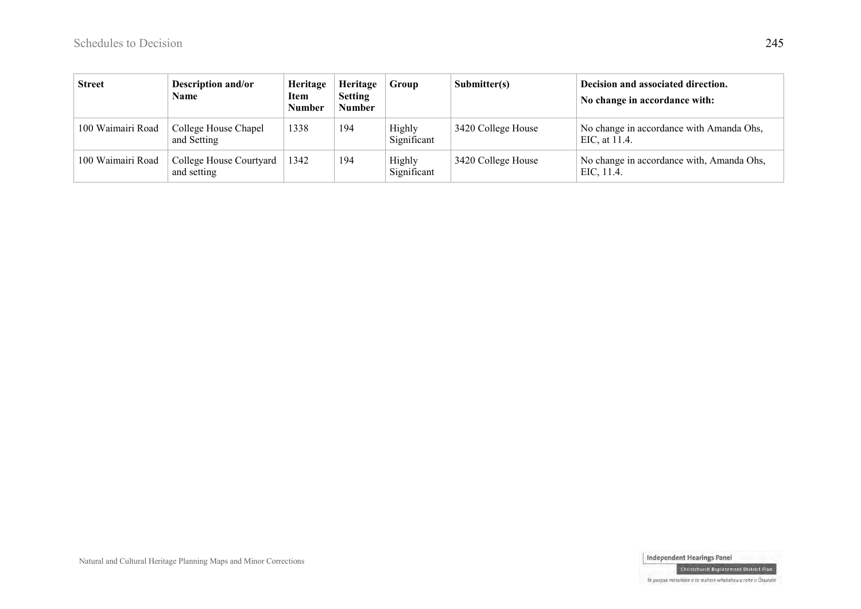| <b>Street</b>     | <b>Description and/or</b><br>Name      | Heritage<br>Item<br><b>Number</b> | Heritage<br><b>Setting</b><br><b>Number</b> | Group                 | Submitter(s)       | Decision and associated direction.<br>No change in accordance with: |
|-------------------|----------------------------------------|-----------------------------------|---------------------------------------------|-----------------------|--------------------|---------------------------------------------------------------------|
| 100 Waimairi Road | College House Chapel<br>and Setting    | 1338                              | 194                                         | Highly<br>Significant | 3420 College House | No change in accordance with Amanda Ohs,<br>EIC, at 11.4.           |
| 100 Waimairi Road | College House Courtyard<br>and setting | 1342                              | 194                                         | Highly<br>Significant | 3420 College House | No change in accordance with, Amanda Ohs,<br>EIC, 11.4.             |

Independent Hearings Panel Christchurch Replacement District Plan

Natural and Cultural Heritage Planning Maps and Minor Corrections

Te paepae motuhake o te mahere whakahou a rohe o Ōtautahi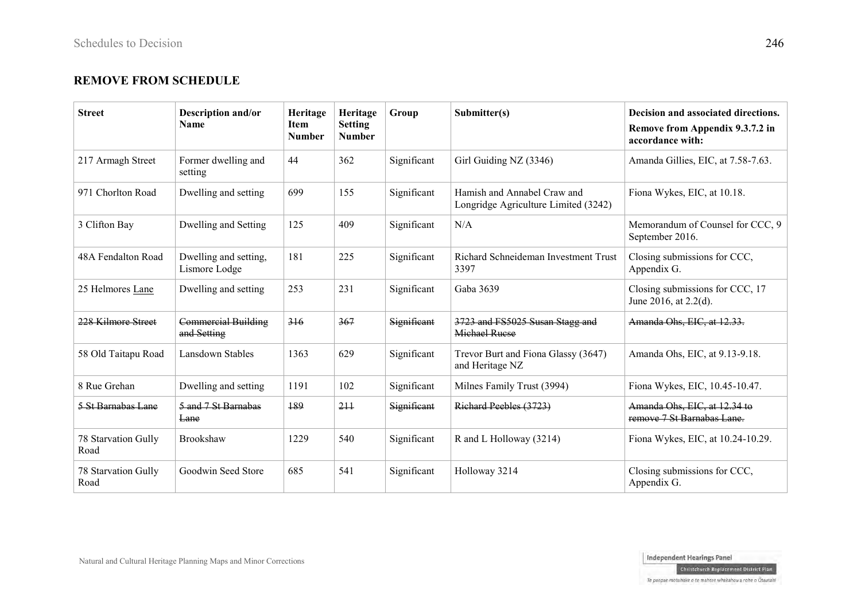#### **REMOVE FROM SCHEDULE**

| <b>Street</b>               | Description and/or<br><b>Name</b>         | Heritage<br><b>Item</b><br><b>Number</b> | Heritage<br><b>Setting</b><br><b>Number</b> | Group       | Submitter(s)                                                        | Decision and associated directions.<br>Remove from Appendix 9.3.7.2 in<br>accordance with: |
|-----------------------------|-------------------------------------------|------------------------------------------|---------------------------------------------|-------------|---------------------------------------------------------------------|--------------------------------------------------------------------------------------------|
| 217 Armagh Street           | Former dwelling and<br>setting            | 44                                       | 362                                         | Significant | Girl Guiding NZ (3346)                                              | Amanda Gillies, EIC, at 7.58-7.63.                                                         |
| 971 Chorlton Road           | Dwelling and setting                      | 699                                      | 155                                         | Significant | Hamish and Annabel Craw and<br>Longridge Agriculture Limited (3242) | Fiona Wykes, EIC, at 10.18.                                                                |
| 3 Clifton Bay               | Dwelling and Setting                      | 125                                      | 409                                         | Significant | N/A                                                                 | Memorandum of Counsel for CCC, 9<br>September 2016.                                        |
| 48A Fendalton Road          | Dwelling and setting,<br>Lismore Lodge    | 181                                      | 225                                         | Significant | Richard Schneideman Investment Trust<br>3397                        | Closing submissions for CCC,<br>Appendix G.                                                |
| 25 Helmores Lane            | Dwelling and setting                      | 253                                      | 231                                         | Significant | Gaba 3639                                                           | Closing submissions for CCC, 17<br>June 2016, at 2.2(d).                                   |
| 228 Kilmore Street          | <b>Commercial Building</b><br>and Setting | 316                                      | 367                                         | Significant | 3723 and FS5025 Susan Stagg and<br>Michael Rucse                    | Amanda Ohs, EIC, at 12.33.                                                                 |
| 58 Old Taitapu Road         | Lansdown Stables                          | 1363                                     | 629                                         | Significant | Trevor Burt and Fiona Glassy (3647)<br>and Heritage NZ              | Amanda Ohs, EIC, at 9.13-9.18.                                                             |
| 8 Rue Grehan                | Dwelling and setting                      | 1191                                     | 102                                         | Significant | Milnes Family Trust (3994)                                          | Fiona Wykes, EIC, 10.45-10.47.                                                             |
| 5 St Barnabas Lane          | 5 and 7 St Barnabas<br>Lane               | 189                                      | 211                                         | Significant | Richard Peebles (3723)                                              | Amanda Ohs, EIC, at 12.34 to<br>remove 7 St Barnabas Lane                                  |
| 78 Starvation Gully<br>Road | Brookshaw                                 | 1229                                     | 540                                         | Significant | R and L Holloway (3214)                                             | Fiona Wykes, EIC, at 10.24-10.29.                                                          |
| 78 Starvation Gully<br>Road | Goodwin Seed Store                        | 685                                      | 541                                         | Significant | Holloway 3214                                                       | Closing submissions for CCC,<br>Appendix G.                                                |